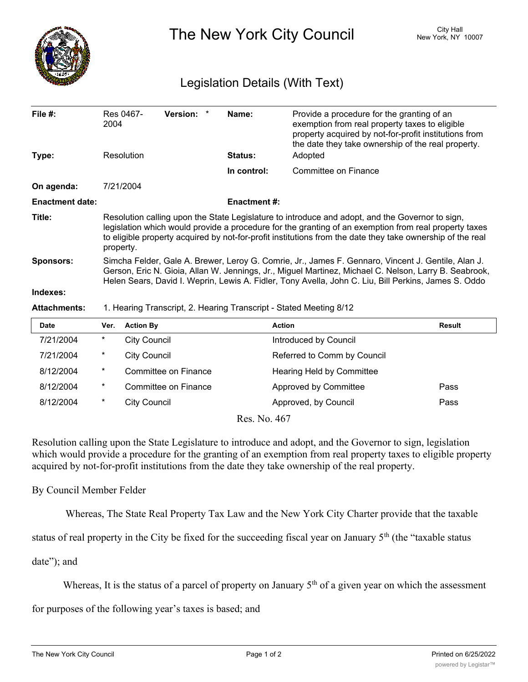

The New York City Council New York, NY 10007

## Legislation Details (With Text)

| File $#$ :             | 2004                                                                                                                                                                                                                                                                                                                                | Res 0467-                                                                                                                                                                                                                                                                                                           | Version: *           |  | Name:              | Provide a procedure for the granting of an<br>exemption from real property taxes to eligible<br>property acquired by not-for-profit institutions from<br>the date they take ownership of the real property. |               |  |
|------------------------|-------------------------------------------------------------------------------------------------------------------------------------------------------------------------------------------------------------------------------------------------------------------------------------------------------------------------------------|---------------------------------------------------------------------------------------------------------------------------------------------------------------------------------------------------------------------------------------------------------------------------------------------------------------------|----------------------|--|--------------------|-------------------------------------------------------------------------------------------------------------------------------------------------------------------------------------------------------------|---------------|--|
| Type:                  |                                                                                                                                                                                                                                                                                                                                     | Resolution                                                                                                                                                                                                                                                                                                          |                      |  | <b>Status:</b>     | Adopted                                                                                                                                                                                                     |               |  |
|                        |                                                                                                                                                                                                                                                                                                                                     |                                                                                                                                                                                                                                                                                                                     |                      |  | In control:        | <b>Committee on Finance</b>                                                                                                                                                                                 |               |  |
| On agenda:             |                                                                                                                                                                                                                                                                                                                                     | 7/21/2004                                                                                                                                                                                                                                                                                                           |                      |  |                    |                                                                                                                                                                                                             |               |  |
| <b>Enactment date:</b> |                                                                                                                                                                                                                                                                                                                                     |                                                                                                                                                                                                                                                                                                                     |                      |  | <b>Enactment#:</b> |                                                                                                                                                                                                             |               |  |
| Title:                 | Resolution calling upon the State Legislature to introduce and adopt, and the Governor to sign,<br>legislation which would provide a procedure for the granting of an exemption from real property taxes<br>to eligible property acquired by not-for-profit institutions from the date they take ownership of the real<br>property. |                                                                                                                                                                                                                                                                                                                     |                      |  |                    |                                                                                                                                                                                                             |               |  |
| <b>Sponsors:</b>       |                                                                                                                                                                                                                                                                                                                                     | Simcha Felder, Gale A. Brewer, Leroy G. Comrie, Jr., James F. Gennaro, Vincent J. Gentile, Alan J.<br>Gerson, Eric N. Gioia, Allan W. Jennings, Jr., Miguel Martinez, Michael C. Nelson, Larry B. Seabrook,<br>Helen Sears, David I. Weprin, Lewis A. Fidler, Tony Avella, John C. Liu, Bill Perkins, James S. Oddo |                      |  |                    |                                                                                                                                                                                                             |               |  |
| Indexes:               |                                                                                                                                                                                                                                                                                                                                     |                                                                                                                                                                                                                                                                                                                     |                      |  |                    |                                                                                                                                                                                                             |               |  |
| <b>Attachments:</b>    | 1. Hearing Transcript, 2. Hearing Transcript - Stated Meeting 8/12                                                                                                                                                                                                                                                                  |                                                                                                                                                                                                                                                                                                                     |                      |  |                    |                                                                                                                                                                                                             |               |  |
| <b>Date</b>            | Ver.                                                                                                                                                                                                                                                                                                                                | <b>Action By</b>                                                                                                                                                                                                                                                                                                    |                      |  |                    | <b>Action</b>                                                                                                                                                                                               | <b>Result</b> |  |
| 7/21/2004              | $^\star$                                                                                                                                                                                                                                                                                                                            | <b>City Council</b>                                                                                                                                                                                                                                                                                                 |                      |  |                    | Introduced by Council                                                                                                                                                                                       |               |  |
| 7/21/2004              | *                                                                                                                                                                                                                                                                                                                                   | <b>City Council</b>                                                                                                                                                                                                                                                                                                 |                      |  |                    | Referred to Comm by Council                                                                                                                                                                                 |               |  |
| 8/12/2004              | $^\star$                                                                                                                                                                                                                                                                                                                            |                                                                                                                                                                                                                                                                                                                     | Committee on Finance |  |                    | Hearing Held by Committee                                                                                                                                                                                   |               |  |
| 8/12/2004              | $^\star$                                                                                                                                                                                                                                                                                                                            |                                                                                                                                                                                                                                                                                                                     | Committee on Finance |  |                    | Approved by Committee                                                                                                                                                                                       | Pass          |  |

Res. No. 467

8/12/2004 \* City Council **Approved, by Council Pass** 

Resolution calling upon the State Legislature to introduce and adopt, and the Governor to sign, legislation which would provide a procedure for the granting of an exemption from real property taxes to eligible property acquired by not-for-profit institutions from the date they take ownership of the real property.

## By Council Member Felder

Whereas, The State Real Property Tax Law and the New York City Charter provide that the taxable

status of real property in the City be fixed for the succeeding fiscal year on January 5<sup>th</sup> (the "taxable status

date"); and

Whereas, It is the status of a parcel of property on January  $5<sup>th</sup>$  of a given year on which the assessment

for purposes of the following year's taxes is based; and